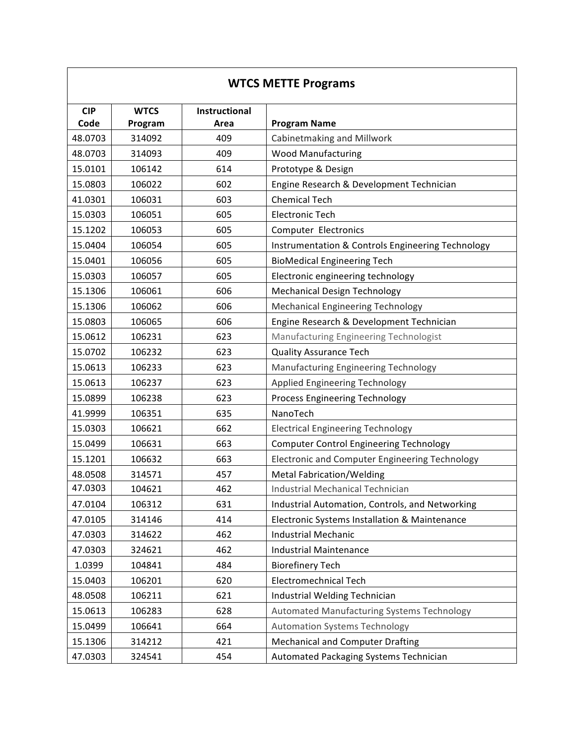| <b>WTCS METTE Programs</b> |                        |                       |                                                       |  |
|----------------------------|------------------------|-----------------------|-------------------------------------------------------|--|
| <b>CIP</b><br>Code         | <b>WTCS</b><br>Program | Instructional<br>Area | <b>Program Name</b>                                   |  |
| 48.0703                    | 314092                 | 409                   | Cabinetmaking and Millwork                            |  |
| 48.0703                    | 314093                 | 409                   | <b>Wood Manufacturing</b>                             |  |
| 15.0101                    | 106142                 | 614                   | Prototype & Design                                    |  |
| 15.0803                    | 106022                 | 602                   | Engine Research & Development Technician              |  |
| 41.0301                    | 106031                 | 603                   | <b>Chemical Tech</b>                                  |  |
| 15.0303                    | 106051                 | 605                   | <b>Electronic Tech</b>                                |  |
| 15.1202                    | 106053                 | 605                   | Computer Electronics                                  |  |
| 15.0404                    | 106054                 | 605                   | Instrumentation & Controls Engineering Technology     |  |
| 15.0401                    | 106056                 | 605                   | <b>BioMedical Engineering Tech</b>                    |  |
| 15.0303                    | 106057                 | 605                   | Electronic engineering technology                     |  |
| 15.1306                    | 106061                 | 606                   | <b>Mechanical Design Technology</b>                   |  |
| 15.1306                    | 106062                 | 606                   | <b>Mechanical Engineering Technology</b>              |  |
| 15.0803                    | 106065                 | 606                   | Engine Research & Development Technician              |  |
| 15.0612                    | 106231                 | 623                   | Manufacturing Engineering Technologist                |  |
| 15.0702                    | 106232                 | 623                   | <b>Quality Assurance Tech</b>                         |  |
| 15.0613                    | 106233                 | 623                   | Manufacturing Engineering Technology                  |  |
| 15.0613                    | 106237                 | 623                   | Applied Engineering Technology                        |  |
| 15.0899                    | 106238                 | 623                   | Process Engineering Technology                        |  |
| 41.9999                    | 106351                 | 635                   | NanoTech                                              |  |
| 15.0303                    | 106621                 | 662                   | <b>Electrical Engineering Technology</b>              |  |
| 15.0499                    | 106631                 | 663                   | <b>Computer Control Engineering Technology</b>        |  |
| 15.1201                    | 106632                 | 663                   | <b>Electronic and Computer Engineering Technology</b> |  |
| 48.0508                    | 314571                 | 457                   | <b>Metal Fabrication/Welding</b>                      |  |
| 47.0303                    | 104621                 | 462                   | Industrial Mechanical Technician                      |  |
| 47.0104                    | 106312                 | 631                   | Industrial Automation, Controls, and Networking       |  |
| 47.0105                    | 314146                 | 414                   | Electronic Systems Installation & Maintenance         |  |
| 47.0303                    | 314622                 | 462                   | <b>Industrial Mechanic</b>                            |  |
| 47.0303                    | 324621                 | 462                   | <b>Industrial Maintenance</b>                         |  |
| 1.0399                     | 104841                 | 484                   | <b>Biorefinery Tech</b>                               |  |
| 15.0403                    | 106201                 | 620                   | <b>Electromechnical Tech</b>                          |  |
| 48.0508                    | 106211                 | 621                   | Industrial Welding Technician                         |  |
| 15.0613                    | 106283                 | 628                   | Automated Manufacturing Systems Technology            |  |
| 15.0499                    | 106641                 | 664                   | <b>Automation Systems Technology</b>                  |  |
| 15.1306                    | 314212                 | 421                   | <b>Mechanical and Computer Drafting</b>               |  |
| 47.0303                    | 324541                 | 454                   | Automated Packaging Systems Technician                |  |